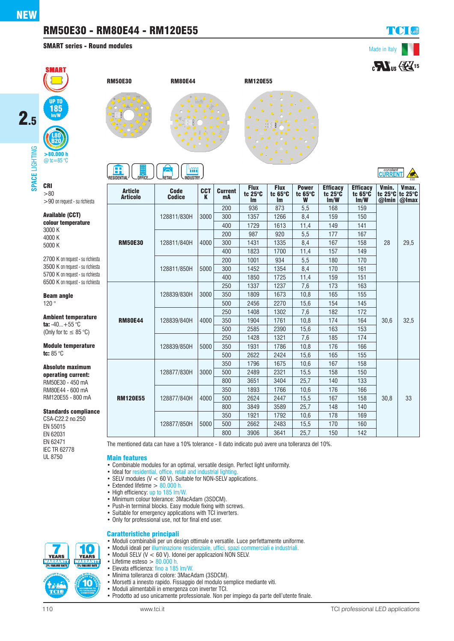## RM50E30 - RM80E44 - RM120E55

SMART series - Round modules





>90 on request - su richiesta

2700 K on request - su richiesta 3500 K on request - su richiesta 5700 K on request - su richiesta 6500 K on request - su richiesta

Ambient temperature ta:  $-40...+55$  °C (Only for tc  $\leq 85^{\circ}$ C) Module temperature

Absolute maximum operating current: RM50E30 - 450 mA RM80E44 - 600 mA RM120E55 - 800 mA

Standards compliance CSA-C22.2 no.250 EN 55015 EN 62031 EN 62471 IEC TR 62778 UL 8750

Available (CCT) colour temperature

Beam angle 120 °

tc: 85 °C

3000 K 4000 K 5000 K





# **A** FIA

| H<br>m<br>-o <del>pp</del><br>_office<br>. INDUSTRY -<br><b>RESIDENTIAL</b><br>RETAIL |                              |                 |                      |                                     |                                     |                                      |                                            |                                            | CURRENT<br>ESD            |                              |
|---------------------------------------------------------------------------------------|------------------------------|-----------------|----------------------|-------------------------------------|-------------------------------------|--------------------------------------|--------------------------------------------|--------------------------------------------|---------------------------|------------------------------|
| <b>Article</b><br><b>Articolo</b>                                                     | <b>Code</b><br><b>Codice</b> | <b>CCT</b><br>K | <b>Current</b><br>mA | <b>Flux</b><br>tc 25°C<br><b>Im</b> | <b>Flux</b><br>tc 65°C<br><b>Im</b> | <b>Power</b><br>tc $65^\circ C$<br>W | <b>Efficacy</b><br>tc $25^\circ$ C<br>Im/W | <b>Efficacy</b><br>tc $65^\circ$ C<br>Im/W | Vmin.<br>tc 25°C<br>@Imin | Vmax.<br>tc 25°C<br>$@$ Imax |
| <b>RM50E30</b>                                                                        | 128811/830H                  | 3000            | 200                  | 936                                 | 873                                 | 5,5                                  | 168                                        | 159                                        | 28                        | 29,5                         |
|                                                                                       |                              |                 | 300                  | 1357                                | 1266                                | 8,4                                  | 159                                        | 150                                        |                           |                              |
|                                                                                       |                              |                 | 400                  | 1729                                | 1613                                | 11,4                                 | 149                                        | 141                                        |                           |                              |
|                                                                                       | 128811/840H                  | 4000            | 200                  | 987                                 | 920                                 | 5,5                                  | 177                                        | 167                                        |                           |                              |
|                                                                                       |                              |                 | 300                  | 1431                                | 1335                                | 8,4                                  | 167                                        | 158                                        |                           |                              |
|                                                                                       |                              |                 | 400                  | 1823                                | 1700                                | 11,4                                 | 157                                        | 149                                        |                           |                              |
|                                                                                       | 128811/850H                  | 5000            | 200                  | 1001                                | 934                                 | 5,5                                  | 180                                        | 170                                        |                           |                              |
|                                                                                       |                              |                 | 300                  | 1452                                | 1354                                | 8,4                                  | 170                                        | 161                                        |                           |                              |
|                                                                                       |                              |                 | 400                  | 1850                                | 1725                                | 11,4                                 | 159                                        | 151                                        |                           |                              |
| <b>RM80E44</b>                                                                        | 128839/830H                  | 3000            | 250                  | 1337                                | 1237                                | 7,6                                  | 173                                        | 163                                        | 30,6                      | 32,5                         |
|                                                                                       |                              |                 | 350                  | 1809                                | 1673                                | 10,8                                 | 165                                        | 155                                        |                           |                              |
|                                                                                       |                              |                 | 500                  | 2456                                | 2270                                | 15,6                                 | 154                                        | 145                                        |                           |                              |
|                                                                                       | 128839/840H                  | 4000            | 250                  | 1408                                | 1302                                | 7,6                                  | 182                                        | 172                                        |                           |                              |
|                                                                                       |                              |                 | 350                  | 1904                                | 1761                                | 10,8                                 | 174                                        | 164                                        |                           |                              |
|                                                                                       |                              |                 | 500                  | 2585                                | 2390                                | 15,6                                 | 163                                        | 153                                        |                           |                              |
|                                                                                       | 128839/850H                  | 5000            | 250                  | 1428                                | 1321                                | 7,6                                  | 185                                        | 174                                        |                           |                              |
|                                                                                       |                              |                 | 350                  | 1931                                | 1786                                | 10,8                                 | 176                                        | 166                                        |                           |                              |
|                                                                                       |                              |                 | 500                  | 2622                                | 2424                                | 15,6                                 | 165                                        | 155                                        |                           |                              |
| <b>RM120E55</b>                                                                       | 128877/830H                  | 3000            | 350                  | 1796                                | 1675                                | 10,6                                 | 167                                        | 158                                        | 30,8                      | 33                           |
|                                                                                       |                              |                 | 500                  | 2489                                | 2321                                | 15,5                                 | 158                                        | 150                                        |                           |                              |
|                                                                                       |                              |                 | 800                  | 3651                                | 3404                                | 25.7                                 | 140                                        | 133                                        |                           |                              |
|                                                                                       | 128877/840H                  | 4000            | 350                  | 1893                                | 1766                                | 10.6                                 | 176                                        | 166                                        |                           |                              |
|                                                                                       |                              |                 | 500                  | 2624                                | 2447                                | 15,5                                 | 167                                        | 158                                        |                           |                              |
|                                                                                       |                              |                 | 800                  | 3849                                | 3589                                | 25,7                                 | 148                                        | 140                                        |                           |                              |
|                                                                                       | 128877/850H                  | 5000            | 350                  | 1921                                | 1792                                | 10,6                                 | 178                                        | 169                                        |                           |                              |
|                                                                                       |                              |                 | 500                  | 2662                                | 2483                                | 15,5                                 | 170                                        | 160                                        |                           |                              |
|                                                                                       |                              |                 | 800                  | 3906                                | 3641                                | 25.7                                 | 150                                        | 142                                        |                           |                              |

The mentioned data can have a 10% tolerance - Il dato indicato può avere una tolleranza del 10%.

Main features

- Combinable modules for an optimal, versatile design. Perfect light uniformity.
- Ideal for residential, office, retail and industrial lighting.
- SELV modules  $(V < 60 V)$ . Suitable for NON-SELV applications.
- Extended lifetime > 80.000 h.
- High efficiency: up to 185 lm/W.
- Minimum colour tolerance: 3MacAdam (3SDCM).
- Push-in terminal blocks. Easy module fixing with screws.
- Suitable for emergency applications with TCI inverters.
- Only for professional use, not for final end user.

#### Caratteristiche principali

- Moduli combinabili per un design ottimale e versatile. Luce perfettamente uniforme.
- Moduli ideali per illuminazione residenziale, uffici, spazi commerciali e industriali.
- Moduli SELV (V < 60 V). Idonei per applicazioni NON SELV.
- Lifetime esteso  $> 80.000$  h.<br>• Elevata efficienza: fino a 185 *TANK KANKIN*<br>5% FAILURE RATE • Elevata efficienza: fino a 185 lm/W.
	- Minima tolleranza di colore: 3MacAdam (3SDCM).
	- Morsetti a innesto rapido. Fissaggio del modulo semplice mediante viti.
	-
	- Moduli alimentabili in emergenza con inverter TCI.
	- Prodotto ad uso unicamente professionale. Non per impiego da parte dell'utente finale.

**YEARS YEARS** 10

I O